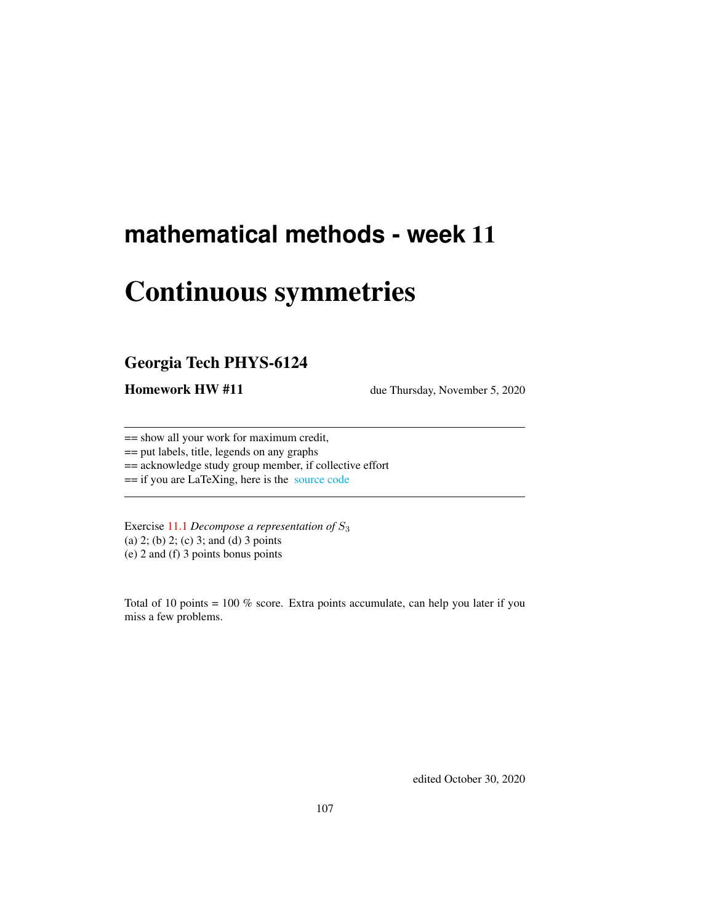# **mathematical methods - week** 11

# Continuous symmetries

# Georgia Tech PHYS-6124

**Homework HW #11** due Thursday, November 5, 2020

== show all your work for maximum credit,

== put labels, title, legends on any graphs

== acknowledge study group member, if collective effort

== if you are LaTeXing, here is the [source code](http://ChaosBook.org/~predrag/courses/PHYS-6124-20/exerWeek11.tex)

Exercise [11.1](#page-9-0) *Decompose a representation of* S<sup>3</sup> (a) 2; (b) 2; (c) 3; and (d) 3 points (e) 2 and (f) 3 points bonus points

Total of 10 points =  $100\%$  score. Extra points accumulate, can help you later if you miss a few problems.

edited October 30, 2020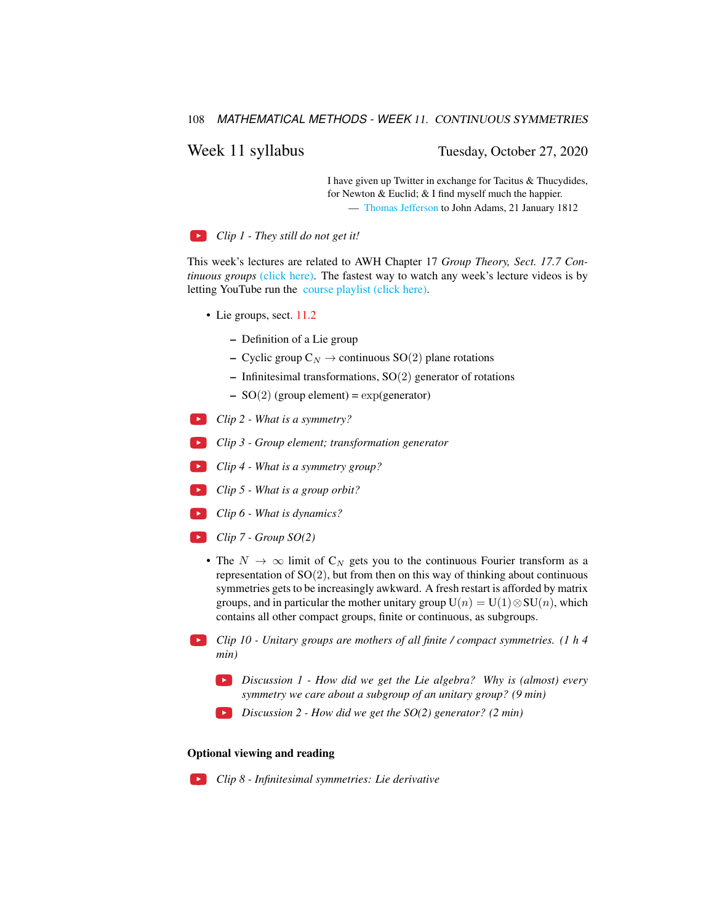108 *MATHEMATICAL METHODS - WEEK* 11. CONTINUOUS SYMMETRIES

# Week 11 syllabus Tuesday, October 27, 2020

I have given up Twitter in exchange for Tacitus & Thucydides, for Newton & Euclid; & I find myself much the happier. — [Thomas Jefferson](https://founders.archives.gov/documents/Jefferson/03-04-02-0334) to John Adams, 21 January 1812

*Clip 1 - They still do not get it!*

This week's lectures are related to AWH Chapter 17 *Group Theory, Sect. 17.7 Continuous groups* [\(click here\).](http://ChaosBook.org/library/ArWeHa13chap17Group-Theory.pdf) The fastest way to watch any week's lecture videos is by letting YouTube run the [course playlist \(click here\).](https://www.youtube.com/watch?v=3NeR6RqNA6g&list=PLVcaOb64gCp-J115RvfOhE1Yb4s584Mho&index=109)

- Lie groups, sect. [11.2](#page-5-0)
	- Definition of a Lie group
	- Cyclic group  $C_N \rightarrow$  continuous SO(2) plane rotations
	- Infinitesimal transformations,  $SO(2)$  generator of rotations
	- $SO(2)$  (group element) = exp(generator)
- *Clip 2 What is a symmetry?*
- *Clip 3 Group element; transformation generator*
- *Clip 4 What is a symmetry group?*
- *Clip 5 What is a group orbit?*
- *Clip 6 What is dynamics?*
- *Clip 7 Group SO(2)*
	- The  $N \to \infty$  limit of  $C_N$  gets you to the continuous Fourier transform as a representation of  $SO(2)$ , but from then on this way of thinking about continuous symmetries gets to be increasingly awkward. A fresh restart is afforded by matrix groups, and in particular the mother unitary group  $U(n) = U(1) \otimes SU(n)$ , which contains all other compact groups, finite or continuous, as subgroups.
- *Clip 10 Unitary groups are mothers of all finite / compact symmetries. (1 h 4 min)*
	- *Discussion 1 How did we get the Lie algebra? Why is (almost) every symmetry we care about a subgroup of an unitary group? (9 min)*
	- *Discussion 2 How did we get the SO(2) generator? (2 min)*

### Optional viewing and reading

*Clip 8 - Infinitesimal symmetries: Lie derivative*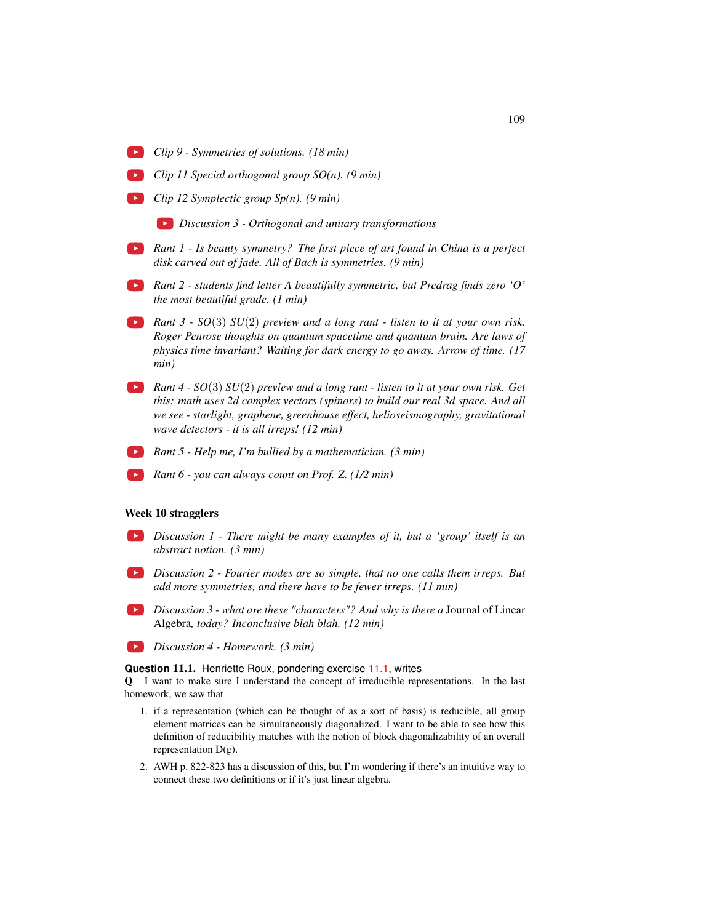- *Clip 9 Symmetries of solutions. (18 min)*
- *Clip 11 Special orthogonal group SO(n). (9 min)*
- *Clip 12 Symplectic group Sp(n). (9 min)*
	- *Discussion 3 Orthogonal and unitary transformations*
- *Rant 1 Is beauty symmetry? The first piece of art found in China is a perfect disk carved out of jade. All of Bach is symmetries. (9 min)*
- *Rant 2 students find letter A beautifully symmetric, but Predrag finds zero 'O' the most beautiful grade. (1 min)*
- *Rant 3 SO*(3) *SU*(2) *preview and a long rant listen to it at your own risk. Roger Penrose thoughts on quantum spacetime and quantum brain. Are laws of physics time invariant? Waiting for dark energy to go away. Arrow of time. (17 min)*
- *Rant 4 SO*(3) *SU*(2) *preview and a long rant listen to it at your own risk. Get this: math uses 2d complex vectors (spinors) to build our real 3d space. And all we see - starlight, graphene, greenhouse effect, helioseismography, gravitational wave detectors - it is all irreps! (12 min)*
- *Rant 5 Help me, I'm bullied by a mathematician. (3 min)*
- *Rant 6 you can always count on Prof. Z. (1/2 min)*

#### Week 10 stragglers

- *Discussion 1 There might be many examples of it, but a 'group' itself is an abstract notion. (3 min)*
- *Discussion 2 Fourier modes are so simple, that no one calls them irreps. But add more symmetries, and there have to be fewer irreps. (11 min)*
- *Discussion 3 what are these "characters"? And why is there a* Journal of Linear Algebra*, today? Inconclusive blah blah. (12 min)*
- *Discussion 4 Homework. (3 min)*

**Question** 11.1. Henriette Roux, pondering exercise [11.1,](#page-9-0) writes

Q I want to make sure I understand the concept of irreducible representations. In the last homework, we saw that

- 1. if a representation (which can be thought of as a sort of basis) is reducible, all group element matrices can be simultaneously diagonalized. I want to be able to see how this definition of reducibility matches with the notion of block diagonalizability of an overall representation D(g).
- 2. AWH p. 822-823 has a discussion of this, but I'm wondering if there's an intuitive way to connect these two definitions or if it's just linear algebra.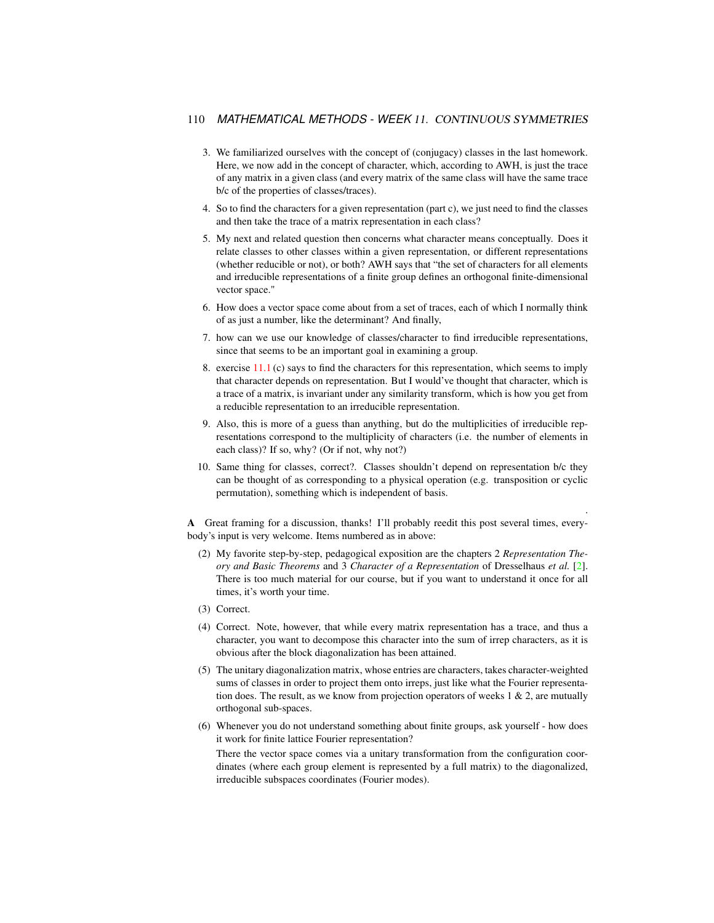#### 110 *MATHEMATICAL METHODS - WEEK* 11. CONTINUOUS SYMMETRIES

- 3. We familiarized ourselves with the concept of (conjugacy) classes in the last homework. Here, we now add in the concept of character, which, according to AWH, is just the trace of any matrix in a given class (and every matrix of the same class will have the same trace b/c of the properties of classes/traces).
- 4. So to find the characters for a given representation (part c), we just need to find the classes and then take the trace of a matrix representation in each class?
- 5. My next and related question then concerns what character means conceptually. Does it relate classes to other classes within a given representation, or different representations (whether reducible or not), or both? AWH says that "the set of characters for all elements and irreducible representations of a finite group defines an orthogonal finite-dimensional vector space."
- 6. How does a vector space come about from a set of traces, each of which I normally think of as just a number, like the determinant? And finally,
- 7. how can we use our knowledge of classes/character to find irreducible representations, since that seems to be an important goal in examining a group.
- 8. exercise [11.1](#page-9-0) (c) says to find the characters for this representation, which seems to imply that character depends on representation. But I would've thought that character, which is a trace of a matrix, is invariant under any similarity transform, which is how you get from a reducible representation to an irreducible representation.
- 9. Also, this is more of a guess than anything, but do the multiplicities of irreducible representations correspond to the multiplicity of characters (i.e. the number of elements in each class)? If so, why? (Or if not, why not?)
- 10. Same thing for classes, correct?. Classes shouldn't depend on representation b/c they can be thought of as corresponding to a physical operation (e.g. transposition or cyclic permutation), something which is independent of basis.

.

A Great framing for a discussion, thanks! I'll probably reedit this post several times, everybody's input is very welcome. Items numbered as in above:

- (2) My favorite step-by-step, pedagogical exposition are the chapters 2 *Representation Theory and Basic Theorems* and 3 *Character of a Representation* of Dresselhaus *et al.* [\[2\]](#page-7-0). There is too much material for our course, but if you want to understand it once for all times, it's worth your time.
- (3) Correct.
- (4) Correct. Note, however, that while every matrix representation has a trace, and thus a character, you want to decompose this character into the sum of irrep characters, as it is obvious after the block diagonalization has been attained.
- (5) The unitary diagonalization matrix, whose entries are characters, takes character-weighted sums of classes in order to project them onto irreps, just like what the Fourier representation does. The result, as we know from projection operators of weeks  $1 \& 2$ , are mutually orthogonal sub-spaces.
- (6) Whenever you do not understand something about finite groups, ask yourself how does it work for finite lattice Fourier representation?

There the vector space comes via a unitary transformation from the configuration coordinates (where each group element is represented by a full matrix) to the diagonalized, irreducible subspaces coordinates (Fourier modes).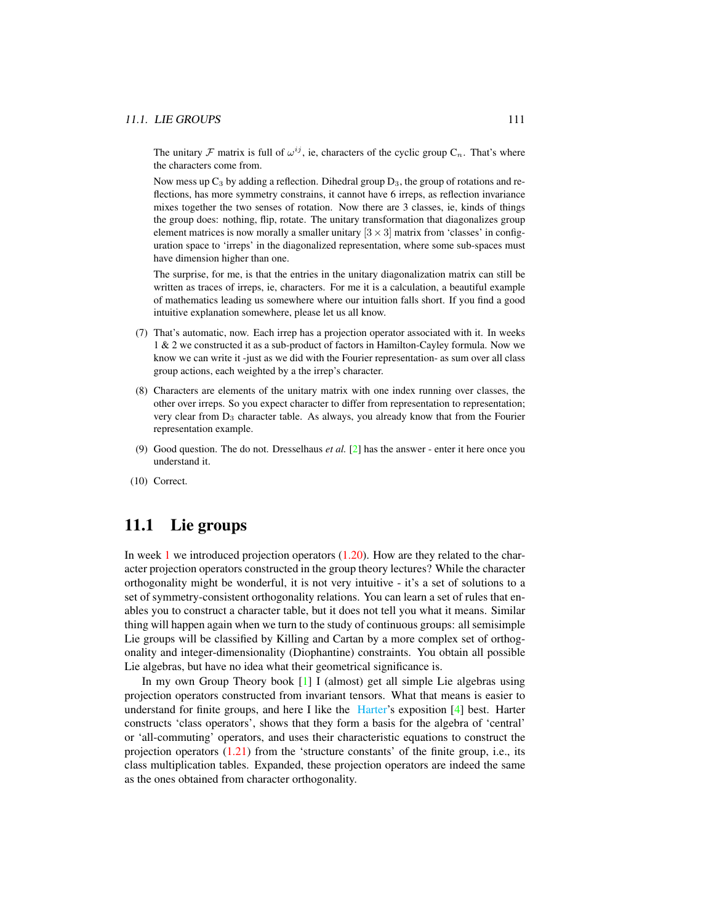The unitary  $\mathcal F$  matrix is full of  $\omega^{ij}$ , ie, characters of the cyclic group  $C_n$ . That's where the characters come from.

Now mess up  $C_3$  by adding a reflection. Dihedral group  $D_3$ , the group of rotations and reflections, has more symmetry constrains, it cannot have 6 irreps, as reflection invariance mixes together the two senses of rotation. Now there are 3 classes, ie, kinds of things the group does: nothing, flip, rotate. The unitary transformation that diagonalizes group element matrices is now morally a smaller unitary  $[3 \times 3]$  matrix from 'classes' in configuration space to 'irreps' in the diagonalized representation, where some sub-spaces must have dimension higher than one.

The surprise, for me, is that the entries in the unitary diagonalization matrix can still be written as traces of irreps, ie, characters. For me it is a calculation, a beautiful example of mathematics leading us somewhere where our intuition falls short. If you find a good intuitive explanation somewhere, please let us all know.

- (7) That's automatic, now. Each irrep has a projection operator associated with it. In weeks 1 & 2 we constructed it as a sub-product of factors in Hamilton-Cayley formula. Now we know we can write it -just as we did with the Fourier representation- as sum over all class group actions, each weighted by a the irrep's character.
- (8) Characters are elements of the unitary matrix with one index running over classes, the other over irreps. So you expect character to differ from representation to representation; very clear from D<sup>3</sup> character table. As always, you already know that from the Fourier representation example.
- (9) Good question. The do not. Dresselhaus *et al.* [\[2\]](#page-7-0) has the answer enter it here once you understand it.
- (10) Correct.

# 11.1 Lie groups

In week 1 we introduced projection operators  $(1.20)$ . How are they related to the character projection operators constructed in the group theory lectures? While the character orthogonality might be wonderful, it is not very intuitive - it's a set of solutions to a set of symmetry-consistent orthogonality relations. You can learn a set of rules that enables you to construct a character table, but it does not tell you what it means. Similar thing will happen again when we turn to the study of continuous groups: all semisimple Lie groups will be classified by Killing and Cartan by a more complex set of orthogonality and integer-dimensionality (Diophantine) constraints. You obtain all possible Lie algebras, but have no idea what their geometrical significance is.

In my own Group Theory book [\[1\]](#page-7-1) I (almost) get all simple Lie algebras using projection operators constructed from invariant tensors. What that means is easier to understand for finite groups, and here I like the [Harter'](http://www.uark.edu/ua/modphys/markup/PSDS_Info.html)s exposition [\[4\]](#page-8-0) best. Harter constructs 'class operators', shows that they form a basis for the algebra of 'central' or 'all-commuting' operators, and uses their characteristic equations to construct the projection operators  $(1.21)$  from the 'structure constants' of the finite group, i.e., its class multiplication tables. Expanded, these projection operators are indeed the same as the ones obtained from character orthogonality.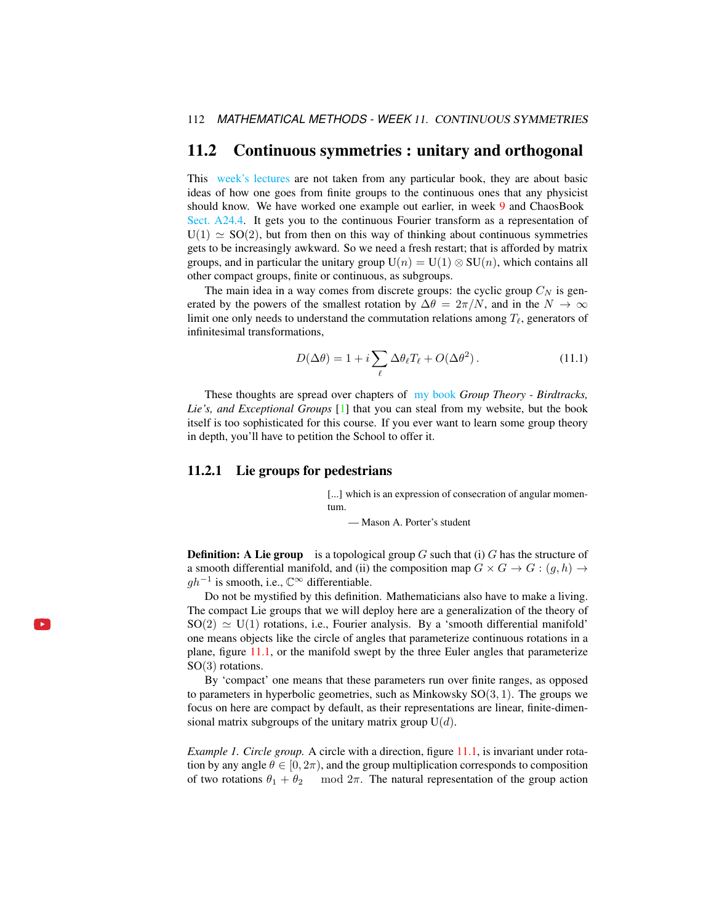# <span id="page-5-0"></span>11.2 Continuous symmetries : unitary and orthogonal

This [week's lectures](https://www.youtube.com/watch?v=3NeR6RqNA6g&list=PLVcaOb64gCp-J115RvfOhE1Yb4s584Mho&index=109) are not taken from any particular book, they are about basic ideas of how one goes from finite groups to the continuous ones that any physicist should know. We have worked one example out earlier, in week 9 and ChaosBook [Sect. A24.4.](http://ChaosBook.org/chapters/ChaosBook.pdf#section.X.4) It gets you to the continuous Fourier transform as a representation of  $U(1) \simeq SO(2)$ , but from then on this way of thinking about continuous symmetries gets to be increasingly awkward. So we need a fresh restart; that is afforded by matrix groups, and in particular the unitary group  $U(n) = U(1) \otimes SU(n)$ , which contains all other compact groups, finite or continuous, as subgroups.

The main idea in a way comes from discrete groups: the cyclic group  $C<sub>N</sub>$  is generated by the powers of the smallest rotation by  $\Delta\theta = 2\pi/N$ , and in the  $N \to \infty$ limit one only needs to understand the commutation relations among  $T_\ell$ , generators of infinitesimal transformations,

$$
D(\Delta \theta) = 1 + i \sum_{\ell} \Delta \theta_{\ell} T_{\ell} + O(\Delta \theta^2).
$$
 (11.1)

These thoughts are spread over chapters of [my book](http://birdtracks.eu/) *Group Theory - Birdtracks, Lie's, and Exceptional Groups* [\[1\]](#page-7-1) that you can steal from my website, but the book itself is too sophisticated for this course. If you ever want to learn some group theory in depth, you'll have to petition the School to offer it.

# 11.2.1 Lie groups for pedestrians

l. ≽.

[...] which is an expression of consecration of angular momentum.

— Mason A. Porter's student

**Definition:** A Lie group is a topological group  $G$  such that (i)  $G$  has the structure of a smooth differential manifold, and (ii) the composition map  $G \times G \to G : (g, h) \to$  $gh^{-1}$  is smooth, i.e.,  $\mathbb{C}^{\infty}$  differentiable.

Do not be mystified by this definition. Mathematicians also have to make a living. The compact Lie groups that we will deploy here are a generalization of the theory of  $SO(2) \simeq U(1)$  rotations, i.e., Fourier analysis. By a 'smooth differential manifold' one means objects like the circle of angles that parameterize continuous rotations in a plane, figure [11.1,](#page-6-0) or the manifold swept by the three Euler angles that parameterize SO(3) rotations.

By 'compact' one means that these parameters run over finite ranges, as opposed to parameters in hyperbolic geometries, such as Minkowsky  $SO(3, 1)$ . The groups we focus on here are compact by default, as their representations are linear, finite-dimensional matrix subgroups of the unitary matrix group  $U(d)$ .

*Example 1. Circle group.* A circle with a direction, figure [11.1,](#page-6-0) is invariant under rotation by any angle  $\theta \in [0, 2\pi)$ , and the group multiplication corresponds to composition of two rotations  $\theta_1 + \theta_2$  mod  $2\pi$ . The natural representation of the group action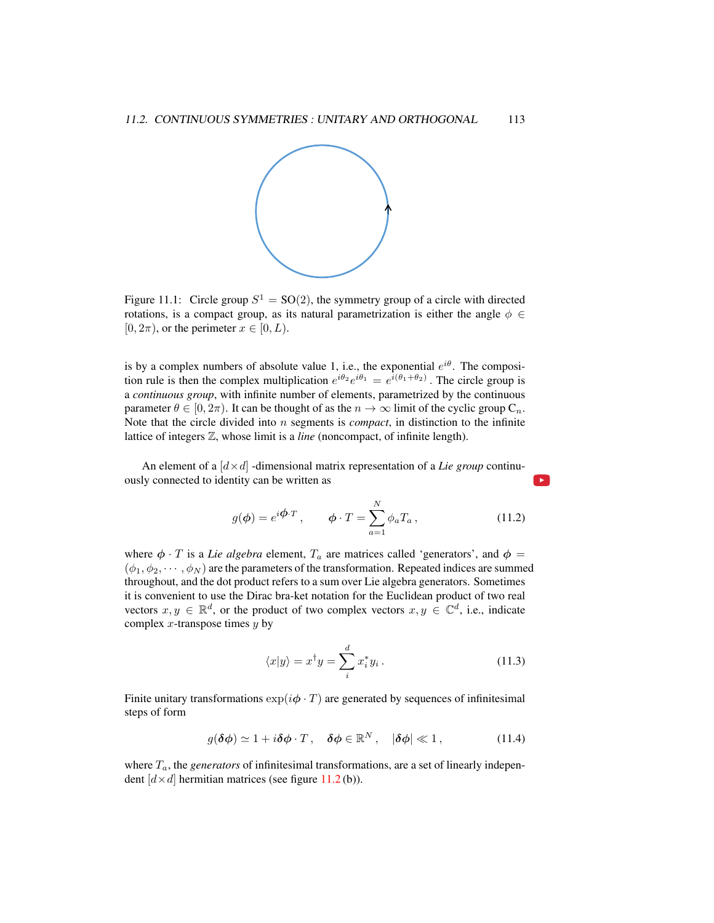

<span id="page-6-0"></span>Figure 11.1: Circle group  $S^1 = SO(2)$ , the symmetry group of a circle with directed rotations, is a compact group, as its natural parametrization is either the angle  $\phi \in$  $[0, 2\pi)$ , or the perimeter  $x \in [0, L)$ .

is by a complex numbers of absolute value 1, i.e., the exponential  $e^{i\theta}$ . The composition rule is then the complex multiplication  $e^{i\theta_2}e^{i\theta_1} = e^{i(\theta_1 + \theta_2)}$ . The circle group is a *continuous group*, with infinite number of elements, parametrized by the continuous parameter  $\theta \in [0, 2\pi)$ . It can be thought of as the  $n \to \infty$  limit of the cyclic group  $C_n$ . Note that the circle divided into n segments is *compact*, in distinction to the infinite lattice of integers Z, whose limit is a *line* (noncompact, of infinite length).

An element of a  $\left[ d \times d \right]$  -dimensional matrix representation of a *Lie group* continuously connected to identity can be written as

$$
g(\phi) = e^{i\phi \cdot T}, \qquad \phi \cdot T = \sum_{a=1}^{N} \phi_a T_a, \qquad (11.2)
$$

where  $\phi \cdot T$  is a *Lie algebra* element,  $T_a$  are matrices called 'generators', and  $\phi =$  $(\phi_1, \phi_2, \cdots, \phi_N)$  are the parameters of the transformation. Repeated indices are summed throughout, and the dot product refers to a sum over Lie algebra generators. Sometimes it is convenient to use the Dirac bra-ket notation for the Euclidean product of two real vectors  $x, y \in \mathbb{R}^d$ , or the product of two complex vectors  $x, y \in \mathbb{C}^d$ , i.e., indicate complex  $x$ -transpose times  $y$  by

$$
\langle x|y\rangle = x^{\dagger}y = \sum_{i}^{d} x_{i}^{*}y_{i}.
$$
 (11.3)

Finite unitary transformations  $\exp(i\phi \cdot T)$  are generated by sequences of infinitesimal steps of form

<span id="page-6-1"></span>
$$
g(\delta\phi) \simeq 1 + i\delta\phi \cdot T, \quad \delta\phi \in \mathbb{R}^N, \quad |\delta\phi| \ll 1, \tag{11.4}
$$

where  $T_a$ , the *generators* of infinitesimal transformations, are a set of linearly independent  $[d \times d]$  hermitian matrices (see figure [11.2](#page-7-2) (b)).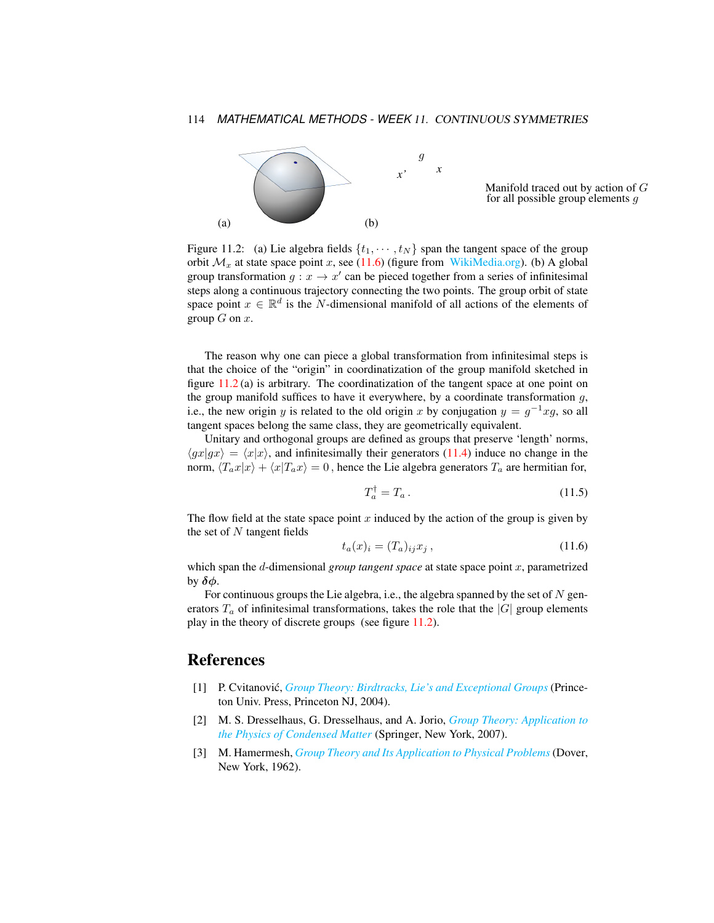

Manifold traced out by action of G for all possible group elements  $q$ 

<span id="page-7-2"></span>Figure 11.2: (a) Lie algebra fields  $\{t_1, \dots, t_N\}$  span the tangent space of the group orbit  $\mathcal{M}_x$  at state space point x, see [\(11.6\)](#page-7-3) (figure from [WikiMedia.org\)](https://commons.wikimedia.org/wiki/File:Image_Tangent-plane.svg). (b) A global group transformation  $g: x \to x'$  can be pieced together from a series of infinitesimal steps along a continuous trajectory connecting the two points. The group orbit of state space point  $x \in \mathbb{R}^d$  is the N-dimensional manifold of all actions of the elements of group  $G$  on  $x$ .

The reason why one can piece a global transformation from infinitesimal steps is that the choice of the "origin" in coordinatization of the group manifold sketched in figure  $11.2$  (a) is arbitrary. The coordinatization of the tangent space at one point on the group manifold suffices to have it everywhere, by a coordinate transformation  $g$ , i.e., the new origin y is related to the old origin x by conjugation  $y = g^{-1}xg$ , so all tangent spaces belong the same class, they are geometrically equivalent.

Unitary and orthogonal groups are defined as groups that preserve 'length' norms,  $\langle gx|gx \rangle = \langle x|x \rangle$ , and infinitesimally their generators [\(11.4\)](#page-6-1) induce no change in the norm,  $\langle T_a x | x \rangle + \langle x | T_a x \rangle = 0$ , hence the Lie algebra generators  $T_a$  are hermitian for,

$$
T_a^\dagger = T_a \,. \tag{11.5}
$$

The flow field at the state space point  $x$  induced by the action of the group is given by the set of  $N$  tangent fields

<span id="page-7-3"></span>
$$
t_a(x)_i = (T_a)_{ij} x_j , \qquad (11.6)
$$

which span the d-dimensional *group tangent space* at state space point x, parametrized by  $\delta\phi$ .

For continuous groups the Lie algebra, i.e., the algebra spanned by the set of  $N$  generators  $T_a$  of infinitesimal transformations, takes the role that the  $|G|$  group elements play in the theory of discrete groups (see figure [11.2\)](#page-7-2).

# References

- <span id="page-7-1"></span>[1] P. Cvitanovic,´ *[Group Theory: Birdtracks, Lie's and Exceptional Groups](https://press.princeton.edu/titles/8839.html)* (Princeton Univ. Press, Princeton NJ, 2004).
- <span id="page-7-0"></span>[2] M. S. Dresselhaus, G. Dresselhaus, and A. Jorio, *[Group Theory: Application to](http://dx.doi.org/10.1007/978-3-540-32899-5) [the Physics of Condensed Matter](http://dx.doi.org/10.1007/978-3-540-32899-5)* (Springer, New York, 2007).
- <span id="page-7-4"></span>[3] M. Hamermesh, *[Group Theory and Its Application to Physical Problems](http://dx.doi.org/10.1119/1.1941790)* (Dover, New York, 1962).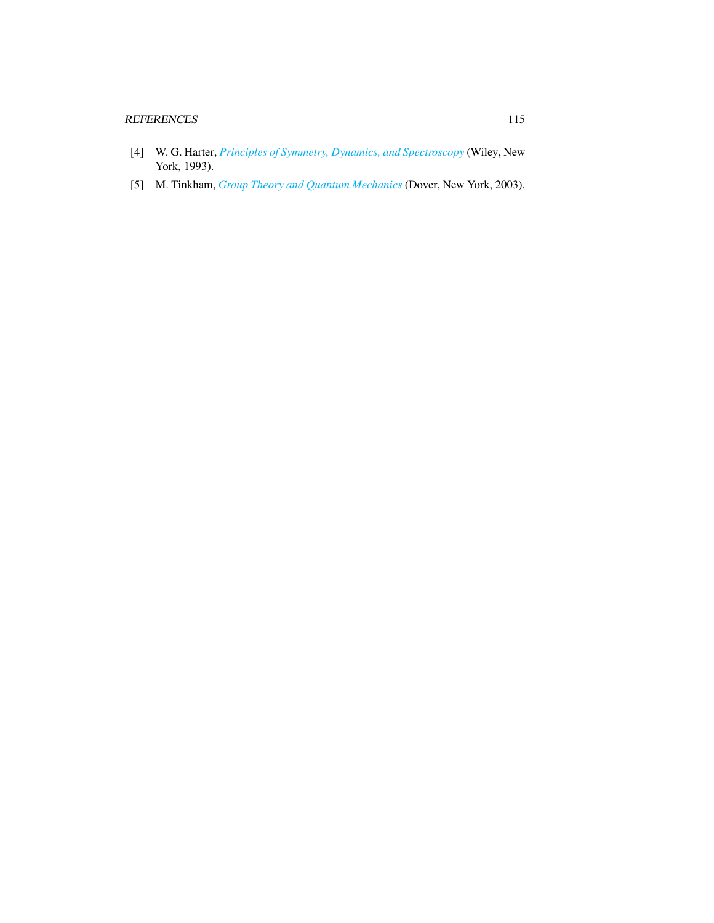## REFERENCES 115

- <span id="page-8-0"></span>[4] W. G. Harter, *[Principles of Symmetry, Dynamics, and Spectroscopy](http://www.uark.edu/ua/modphys/markup/PSDS_Info.html)* (Wiley, New York, 1993).
- <span id="page-8-1"></span>[5] M. Tinkham, *[Group Theory and Quantum Mechanics](http://dx.doi.org/10.1016/c2013-0-01646-5)* (Dover, New York, 2003).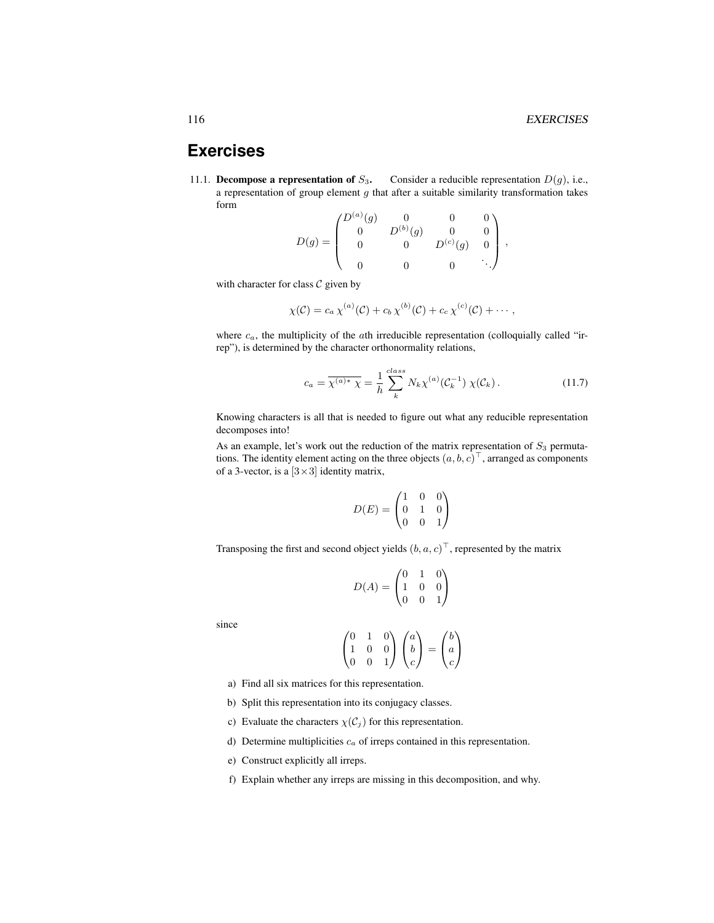,

# **Exercises**

<span id="page-9-0"></span>11.1. Decompose a representation of  $S_3$ . Consider a reducible representation  $D(g)$ , i.e., a representation of group element  $g$  that after a suitable similarity transformation takes form

$$
D(g) = \begin{pmatrix} D^{(a)}(g) & 0 & 0 & 0 \\ 0 & D^{(b)}(g) & 0 & 0 \\ 0 & 0 & D^{(c)}(g) & 0 \\ 0 & 0 & 0 & \ddots \end{pmatrix}
$$

with character for class  $C$  given by

$$
\chi(\mathcal{C})=c_a\,\chi^{(a)}(\mathcal{C})+c_b\,\chi^{(b)}(\mathcal{C})+c_c\,\chi^{(c)}(\mathcal{C})+\cdots,
$$

where  $c_a$ , the multiplicity of the *ath* irreducible representation (colloquially called "irrep"), is determined by the character orthonormality relations,

$$
c_a = \overline{\chi^{(a)*} \chi} = \frac{1}{h} \sum_{k}^{class} N_k \chi^{(a)}(\mathcal{C}_k^{-1}) \chi(\mathcal{C}_k).
$$
 (11.7)

Knowing characters is all that is needed to figure out what any reducible representation decomposes into!

As an example, let's work out the reduction of the matrix representation of  $S_3$  permutations. The identity element acting on the three objects  $(a, b, c)^\top$ , arranged as components of a 3-vector, is a  $[3 \times 3]$  identity matrix,

$$
D(E) = \begin{pmatrix} 1 & 0 & 0 \\ 0 & 1 & 0 \\ 0 & 0 & 1 \end{pmatrix}
$$

Transposing the first and second object yields  $(b, a, c)^\top$ , represented by the matrix

$$
D(A) = \begin{pmatrix} 0 & 1 & 0 \\ 1 & 0 & 0 \\ 0 & 0 & 1 \end{pmatrix}
$$

since

$$
\begin{pmatrix} 0 & 1 & 0 \\ 1 & 0 & 0 \\ 0 & 0 & 1 \end{pmatrix} \begin{pmatrix} a \\ b \\ c \end{pmatrix} = \begin{pmatrix} b \\ a \\ c \end{pmatrix}
$$

- a) Find all six matrices for this representation.
- b) Split this representation into its conjugacy classes.
- c) Evaluate the characters  $\chi(C_i)$  for this representation.
- d) Determine multiplicities  $c_a$  of irreps contained in this representation.
- e) Construct explicitly all irreps.
- f) Explain whether any irreps are missing in this decomposition, and why.